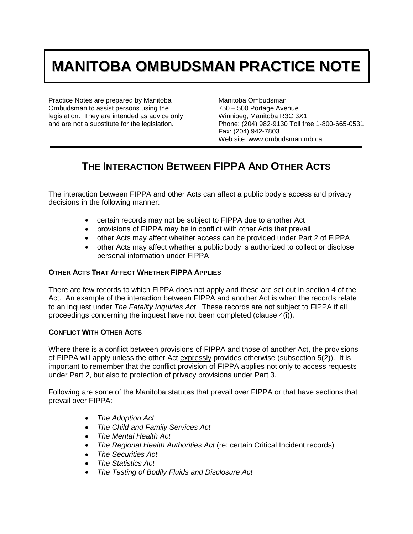# **MANITOBA OMBUDSMAN PRACTICE NOTE**

Practice Notes are prepared by Manitoba Ombudsman to assist persons using the legislation. They are intended as advice only and are not a substitute for the legislation.

Manitoba Ombudsman 750 – 500 Portage Avenue Winnipeg, Manitoba R3C 3X1 Phone: (204) 982-9130 Toll free 1-800-665-0531 Fax: (204) 942-7803 Web site: www.ombudsman.mb.ca

# **THE INTERACTION BETWEEN FIPPA AND OTHER ACTS**

The interaction between FIPPA and other Acts can affect a public body's access and privacy decisions in the following manner:

- certain records may not be subject to FIPPA due to another Act
- provisions of FIPPA may be in conflict with other Acts that prevail
- other Acts may affect whether access can be provided under Part 2 of FIPPA
- other Acts may affect whether a public body is authorized to collect or disclose personal information under FIPPA

# **OTHER ACTS THAT AFFECT WHETHER FIPPA APPLIES**

There are few records to which FIPPA does not apply and these are set out in section 4 of the Act. An example of the interaction between FIPPA and another Act is when the records relate to an inquest under *The Fatality Inquiries Act*. These records are not subject to FIPPA if all proceedings concerning the inquest have not been completed (clause 4(i)).

# **CONFLICT WITH OTHER ACTS**

Where there is a conflict between provisions of FIPPA and those of another Act, the provisions of FIPPA will apply unless the other Act expressly provides otherwise (subsection 5(2)). It is important to remember that the conflict provision of FIPPA applies not only to access requests under Part 2, but also to protection of privacy provisions under Part 3.

Following are some of the Manitoba statutes that prevail over FIPPA or that have sections that prevail over FIPPA:

- *The Adoption Act*
- *The Child and Family Services Act*
- *The Mental Health Act*
- *The Regional Health Authorities Act* (re: certain Critical Incident records)
- *The Securities Act*
- *The Statistics Act*
- *The Testing of Bodily Fluids and Disclosure Act*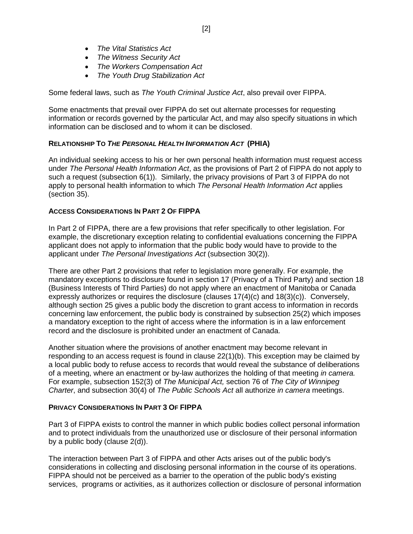- *The Vital Statistics Act*
- *The Witness Security Act*
- *The Workers Compensation Act*
- *The Youth Drug Stabilization Act*

Some federal laws, such as *The Youth Criminal Justice Act*, also prevail over FIPPA.

Some enactments that prevail over FIPPA do set out alternate processes for requesting information or records governed by the particular Act, and may also specify situations in which information can be disclosed and to whom it can be disclosed.

#### **RELATIONSHIP TO** *THE PERSONAL HEALTH INFORMATION ACT* **(PHIA)**

An individual seeking access to his or her own personal health information must request access under *The Personal Health Information Act*, as the provisions of Part 2 of FIPPA do not apply to such a request (subsection 6(1)). Similarly, the privacy provisions of Part 3 of FIPPA do not apply to personal health information to which *The Personal Health Information Act* applies (section 35).

# **ACCESS CONSIDERATIONS IN PART 2 OF FIPPA**

In Part 2 of FIPPA, there are a few provisions that refer specifically to other legislation. For example, the discretionary exception relating to confidential evaluations concerning the FIPPA applicant does not apply to information that the public body would have to provide to the applicant under *The Personal Investigations Act* (subsection 30(2)).

There are other Part 2 provisions that refer to legislation more generally. For example, the mandatory exceptions to disclosure found in section 17 (Privacy of a Third Party) and section 18 (Business Interests of Third Parties) do not apply where an enactment of Manitoba or Canada expressly authorizes or requires the disclosure (clauses 17(4)(c) and 18(3)(c)). Conversely, although section 25 gives a public body the discretion to grant access to information in records concerning law enforcement, the public body is constrained by subsection 25(2) which imposes a mandatory exception to the right of access where the information is in a law enforcement record and the disclosure is prohibited under an enactment of Canada.

Another situation where the provisions of another enactment may become relevant in responding to an access request is found in clause 22(1)(b). This exception may be claimed by a local public body to refuse access to records that would reveal the substance of deliberations of a meeting, where an enactment or by-law authorizes the holding of that meeting *in camera.* For example, subsection 152(3) of *The Municipal Act,* section 76 of *The City of Winnipeg Charter*, and subsection 30(4) of *The Public Schools Act* all authorize *in camera* meetings.

#### **PRIVACY CONSIDERATIONS IN PART 3 OF FIPPA**

Part 3 of FIPPA exists to control the manner in which public bodies collect personal information and to protect individuals from the unauthorized use or disclosure of their personal information by a public body (clause 2(d)).

The interaction between Part 3 of FIPPA and other Acts arises out of the public body's considerations in collecting and disclosing personal information in the course of its operations. FIPPA should not be perceived as a barrier to the operation of the public body's existing services, programs or activities, as it authorizes collection or disclosure of personal information